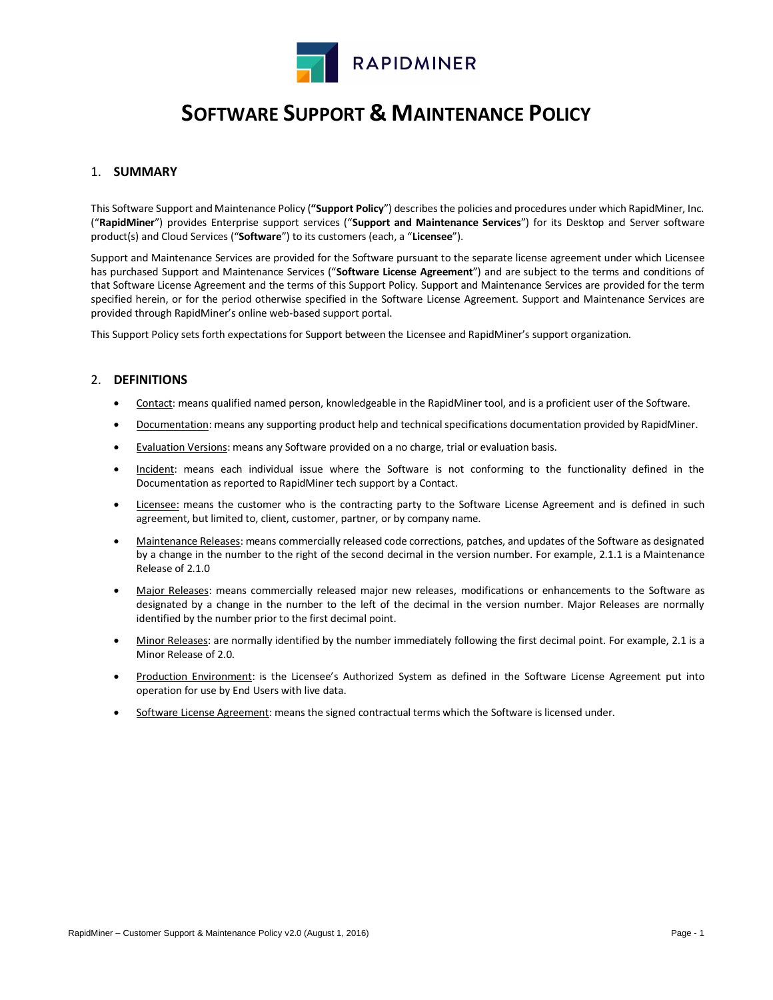

# **SOFTWARE SUPPORT & MAINTENANCE POLICY**

# 1. **SUMMARY**

This Software Support and Maintenance Policy (**"Support Policy**") describes the policies and procedures under which RapidMiner, Inc. ("**RapidMiner**") provides Enterprise support services ("**Support and Maintenance Services**") for its Desktop and Server software product(s) and Cloud Services ("**Software**") to its customers (each, a "**Licensee**").

Support and Maintenance Services are provided for the Software pursuant to the separate license agreement under which Licensee has purchased Support and Maintenance Services ("**Software License Agreement**") and are subject to the terms and conditions of that Software License Agreement and the terms of this Support Policy. Support and Maintenance Services are provided for the term specified herein, or for the period otherwise specified in the Software License Agreement. Support and Maintenance Services are provided through RapidMiner's online web-based support portal.

This Support Policy sets forth expectations for Support between the Licensee and RapidMiner's support organization.

## 2. **DEFINITIONS**

- Contact: means qualified named person, knowledgeable in the RapidMiner tool, and is a proficient user of the Software.
- Documentation: means any supporting product help and technical specifications documentation provided by RapidMiner.
- Evaluation Versions: means any Software provided on a no charge, trial or evaluation basis.
- Incident: means each individual issue where the Software is not conforming to the functionality defined in the Documentation as reported to RapidMiner tech support by a Contact.
- Licensee: means the customer who is the contracting party to the Software License Agreement and is defined in such agreement, but limited to, client, customer, partner, or by company name.
- Maintenance Releases: means commercially released code corrections, patches, and updates of the Software as designated by a change in the number to the right of the second decimal in the version number. For example, 2.1.1 is a Maintenance Release of 2.1.0
- Major Releases: means commercially released major new releases, modifications or enhancements to the Software as designated by a change in the number to the left of the decimal in the version number. Major Releases are normally identified by the number prior to the first decimal point.
- Minor Releases: are normally identified by the number immediately following the first decimal point. For example, 2.1 is a Minor Release of 2.0.
- Production Environment: is the Licensee's Authorized System as defined in the Software License Agreement put into operation for use by End Users with live data.
- Software License Agreement: means the signed contractual terms which the Software is licensed under.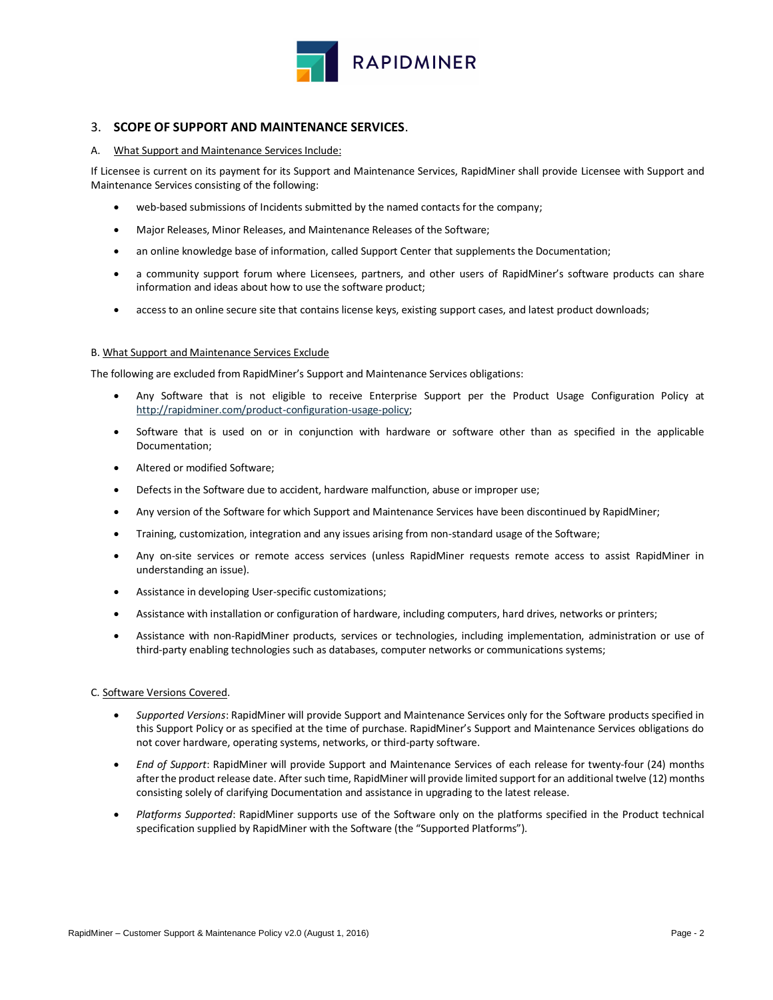

## 3. **SCOPE OF SUPPORT AND MAINTENANCE SERVICES**.

#### A. What Support and Maintenance Services Include:

If Licensee is current on its payment for its Support and Maintenance Services, RapidMiner shall provide Licensee with Support and Maintenance Services consisting of the following:

- web-based submissions of Incidents submitted by the named contacts for the company;
- Major Releases, Minor Releases, and Maintenance Releases of the Software;
- an online knowledge base of information, called Support Center that supplements the Documentation;
- a community support forum where Licensees, partners, and other users of RapidMiner's software products can share information and ideas about how to use the software product;
- access to an online secure site that contains license keys, existing support cases, and latest product downloads;

#### B. What Support and Maintenance Services Exclude

The following are excluded from RapidMiner's Support and Maintenance Services obligations:

- Any Software that is not eligible to receive Enterprise Support per the Product Usage Configuration Policy at [http://rapidminer.com/product-configuration-usage-policy;](http://rapidminer.com/product-configuration-usage-policy)
- Software that is used on or in conjunction with hardware or software other than as specified in the applicable Documentation;
- Altered or modified Software;
- Defects in the Software due to accident, hardware malfunction, abuse or improper use;
- Any version of the Software for which Support and Maintenance Services have been discontinued by RapidMiner;
- Training, customization, integration and any issues arising from non-standard usage of the Software;
- Any on-site services or remote access services (unless RapidMiner requests remote access to assist RapidMiner in understanding an issue).
- Assistance in developing User-specific customizations;
- Assistance with installation or configuration of hardware, including computers, hard drives, networks or printers;
- Assistance with non-RapidMiner products, services or technologies, including implementation, administration or use of third-party enabling technologies such as databases, computer networks or communications systems;

#### C. Software Versions Covered.

- *Supported Versions*: RapidMiner will provide Support and Maintenance Services only for the Software products specified in this Support Policy or as specified at the time of purchase. RapidMiner's Support and Maintenance Services obligations do not cover hardware, operating systems, networks, or third-party software.
- *End of Support*: RapidMiner will provide Support and Maintenance Services of each release for twenty-four (24) months after the product release date. After such time, RapidMiner will provide limited support for an additional twelve (12) months consisting solely of clarifying Documentation and assistance in upgrading to the latest release.
- *Platforms Supported*: RapidMiner supports use of the Software only on the platforms specified in the Product technical specification supplied by RapidMiner with the Software (the "Supported Platforms").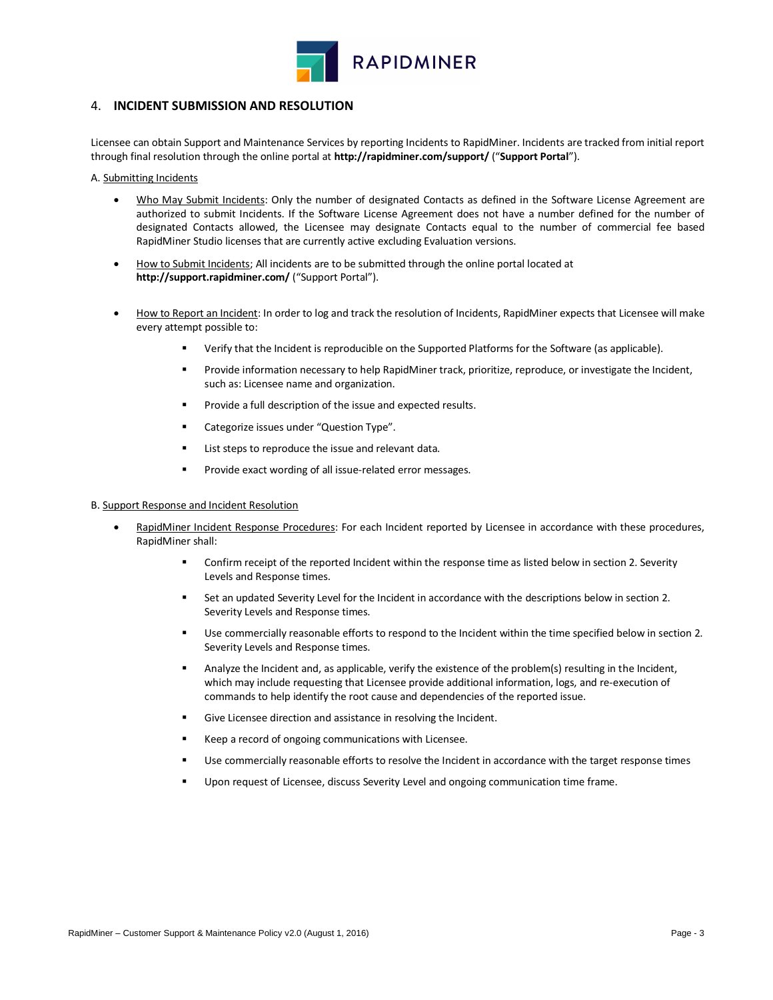

## 4. **INCIDENT SUBMISSION AND RESOLUTION**

Licensee can obtain Support and Maintenance Services by reporting Incidents to RapidMiner. Incidents are tracked from initial report through final resolution through the online portal at **http://rapidminer.com/support/** ("**Support Portal**").

A. Submitting Incidents

- Who May Submit Incidents: Only the number of designated Contacts as defined in the Software License Agreement are authorized to submit Incidents. If the Software License Agreement does not have a number defined for the number of designated Contacts allowed, the Licensee may designate Contacts equal to the number of commercial fee based RapidMiner Studio licenses that are currently active excluding Evaluation versions.
- How to Submit Incidents; All incidents are to be submitted through the online portal located at **http://support.rapidminer.com/** ("Support Portal").
- How to Report an Incident: In order to log and track the resolution of Incidents, RapidMiner expects that Licensee will make every attempt possible to:
	- Verify that the Incident is reproducible on the Supported Platforms for the Software (as applicable).
	- Provide information necessary to help RapidMiner track, prioritize, reproduce, or investigate the Incident, such as: Licensee name and organization.
	- Provide a full description of the issue and expected results.
	- Categorize issues under "Question Type".
	- List steps to reproduce the issue and relevant data.
	- Provide exact wording of all issue-related error messages.

#### B. Support Response and Incident Resolution

- RapidMiner Incident Response Procedures: For each Incident reported by Licensee in accordance with these procedures, RapidMiner shall:
	- **•** Confirm receipt of the reported Incident within the response time as listed below in section 2. Severity Levels and Response times.
	- Set an updated Severity Level for the Incident in accordance with the descriptions below in section 2. Severity Levels and Response times.
	- Use commercially reasonable efforts to respond to the Incident within the time specified below in section 2. Severity Levels and Response times.
	- Analyze the Incident and, as applicable, verify the existence of the problem(s) resulting in the Incident, which may include requesting that Licensee provide additional information, logs, and re-execution of commands to help identify the root cause and dependencies of the reported issue.
	- Give Licensee direction and assistance in resolving the Incident.
	- Keep a record of ongoing communications with Licensee.
	- Use commercially reasonable efforts to resolve the Incident in accordance with the target response times
	- Upon request of Licensee, discuss Severity Level and ongoing communication time frame.